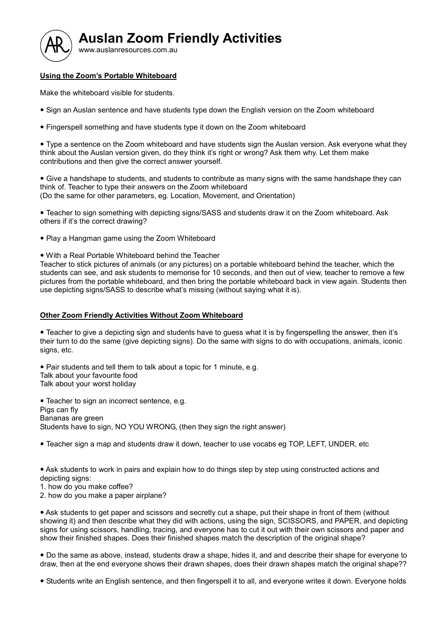

## Using the Zoom's Portable Whiteboard

Make the whiteboard visible for students.

- Sign an Auslan sentence and have students type down the English version on the Zoom whiteboard
- Fingerspell something and have students type it down on the Zoom whiteboard

 Type a sentence on the Zoom whiteboard and have students sign the Auslan version. Ask everyone what they think about the Auslan version given, do they think it's right or wrong? Ask them why. Let them make contributions and then give the correct answer yourself.

 Give a handshape to students, and students to contribute as many signs with the same handshape they can think of. Teacher to type their answers on the Zoom whiteboard (Do the same for other parameters, eg. Location, Movement, and Orientation)

 Teacher to sign something with depicting signs/SASS and students draw it on the Zoom whiteboard. Ask others if it's the correct drawing?

- Play a Hangman game using the Zoom Whiteboard
- With a Real Portable Whiteboard behind the Teacher

Teacher to stick pictures of animals (or any pictures) on a portable whiteboard behind the teacher, which the students can see, and ask students to memorise for 10 seconds, and then out of view, teacher to remove a few pictures from the portable whiteboard, and then bring the portable whiteboard back in view again. Students then use depicting signs/SASS to describe what's missing (without saying what it is).

## Other Zoom Friendly Activities Without Zoom Whiteboard

 Teacher to give a depicting sign and students have to guess what it is by fingerspelling the answer, then it's their turn to do the same (give depicting signs). Do the same with signs to do with occupations, animals, iconic signs, etc.

• Pair students and tell them to talk about a topic for 1 minute, e.g. Talk about your favourite food Talk about your worst holiday

• Teacher to sign an incorrect sentence, e.g. Pigs can fly Bananas are green Students have to sign, NO YOU WRONG, (then they sign the right answer)

Teacher sign a map and students draw it down, teacher to use vocabs eg TOP, LEFT, UNDER, etc

 Ask students to work in pairs and explain how to do things step by step using constructed actions and depicting signs:

1. how do you make coffee?

2. how do you make a paper airplane?

 Ask students to get paper and scissors and secretly cut a shape, put their shape in front of them (without showing it) and then describe what they did with actions, using the sign, SCISSORS, and PAPER, and depicting signs for using scissors, handling, tracing, and everyone has to cut it out with their own scissors and paper and show their finished shapes. Does their finished shapes match the description of the original shape?

 Do the same as above, instead, students draw a shape, hides it, and and describe their shape for everyone to draw, then at the end everyone shows their drawn shapes, does their drawn shapes match the original shape??

Students write an English sentence, and then fingerspell it to all, and everyone writes it down. Everyone holds